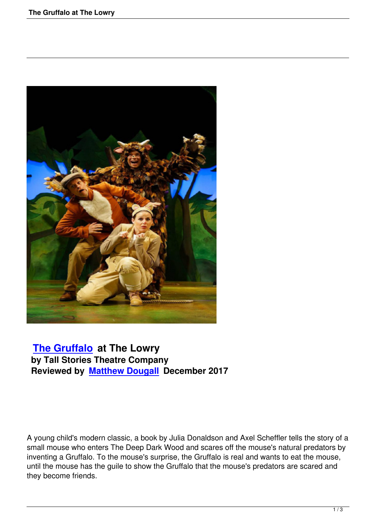

## **The Gruffalo at The Lowry by Tall Stories Theatre Company [Reviewed by M](the-gruffalo-at-the-lowry.html)atthew Dougall December 2017**

A young child's modern classic, a book by Julia Donaldson and Axel Scheffler tells the story of a small mouse who enters The Deep Dark Wood and scares off the mouse's natural predators by inventing a Gruffalo. To the mouse's surprise, the Gruffalo is real and wants to eat the mouse, until the mouse has the guile to show the Gruffalo that the mouse's predators are scared and they become friends.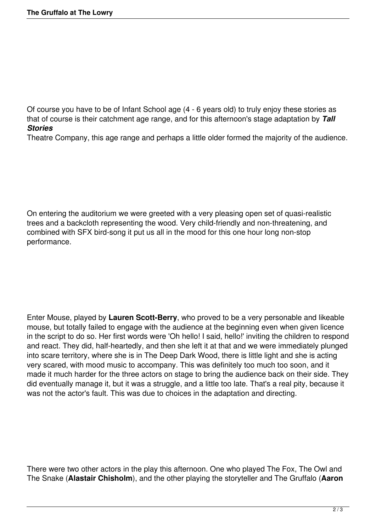Of course you have to be of Infant School age (4 - 6 years old) to truly enjoy these stories as that of course is their catchment age range, and for this afternoon's stage adaptation by *Tall Stories* 

Theatre Company, this age range and perhaps a little older formed the majority of the audience.

On entering the auditorium we were greeted with a very pleasing open set of quasi-realistic trees and a backcloth representing the wood. Very child-friendly and non-threatening, and combined with SFX bird-song it put us all in the mood for this one hour long non-stop performance.

Enter Mouse, played by **Lauren Scott-Berry**, who proved to be a very personable and likeable mouse, but totally failed to engage with the audience at the beginning even when given licence in the script to do so. Her first words were 'Oh hello! I said, hello!' inviting the children to respond and react. They did, half-heartedly, and then she left it at that and we were immediately plunged into scare territory, where she is in The Deep Dark Wood, there is little light and she is acting very scared, with mood music to accompany. This was definitely too much too soon, and it made it much harder for the three actors on stage to bring the audience back on their side. They did eventually manage it, but it was a struggle, and a little too late. That's a real pity, because it was not the actor's fault. This was due to choices in the adaptation and directing.

There were two other actors in the play this afternoon. One who played The Fox, The Owl and The Snake (**Alastair Chisholm**), and the other playing the storyteller and The Gruffalo (**Aaron**